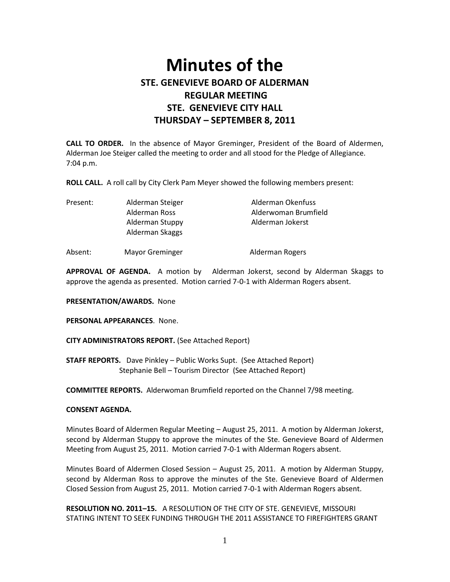# **Minutes of the STE. GENEVIEVE BOARD OF ALDERMAN REGULAR MEETING STE. GENEVIEVE CITY HALL THURSDAY – SEPTEMBER 8, 2011**

**CALL TO ORDER.** In the absence of Mayor Greminger, President of the Board of Aldermen, Alderman Joe Steiger called the meeting to order and all stood for the Pledge of Allegiance. 7:04 p.m.

**ROLL CALL.** A roll call by City Clerk Pam Meyer showed the following members present:

| Present: | Alderman Steiger | Alderman Okenfuss    |
|----------|------------------|----------------------|
|          | Alderman Ross    | Alderwoman Brumfield |
|          | Alderman Stuppy  | Alderman Jokerst     |
|          | Alderman Skaggs  |                      |
|          |                  |                      |

Absent: Mayor Greminger and Alderman Rogers

**APPROVAL OF AGENDA.** A motion by Alderman Jokerst, second by Alderman Skaggs to approve the agenda as presented. Motion carried 7-0-1 with Alderman Rogers absent.

**PRESENTATION/AWARDS.** None

**PERSONAL APPEARANCES**. None.

**CITY ADMINISTRATORS REPORT.** (See Attached Report)

**STAFF REPORTS.** Dave Pinkley – Public Works Supt. (See Attached Report) Stephanie Bell – Tourism Director (See Attached Report)

**COMMITTEE REPORTS.** Alderwoman Brumfield reported on the Channel 7/98 meeting.

#### **CONSENT AGENDA.**

Minutes Board of Aldermen Regular Meeting – August 25, 2011. A motion by Alderman Jokerst, second by Alderman Stuppy to approve the minutes of the Ste. Genevieve Board of Aldermen Meeting from August 25, 2011. Motion carried 7-0-1 with Alderman Rogers absent.

Minutes Board of Aldermen Closed Session – August 25, 2011. A motion by Alderman Stuppy, second by Alderman Ross to approve the minutes of the Ste. Genevieve Board of Aldermen Closed Session from August 25, 2011. Motion carried 7-0-1 with Alderman Rogers absent.

**RESOLUTION NO. 2011–15.** A RESOLUTION OF THE CITY OF STE. GENEVIEVE, MISSOURI STATING INTENT TO SEEK FUNDING THROUGH THE 2011 ASSISTANCE TO FIREFIGHTERS GRANT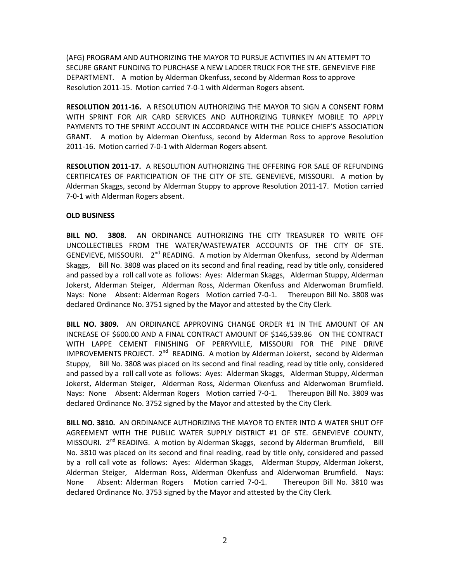(AFG) PROGRAM AND AUTHORIZING THE MAYOR TO PURSUE ACTIVITIES IN AN ATTEMPT TO SECURE GRANT FUNDING TO PURCHASE A NEW LADDER TRUCK FOR THE STE. GENEVIEVE FIRE DEPARTMENT. A motion by Alderman Okenfuss, second by Alderman Ross to approve Resolution 2011-15. Motion carried 7-0-1 with Alderman Rogers absent.

**RESOLUTION 2011-16.** A RESOLUTION AUTHORIZING THE MAYOR TO SIGN A CONSENT FORM WITH SPRINT FOR AIR CARD SERVICES AND AUTHORIZING TURNKEY MOBILE TO APPLY PAYMENTS TO THE SPRINT ACCOUNT IN ACCORDANCE WITH THE POLICE CHIEF'S ASSOCIATION GRANT. A motion by Alderman Okenfuss, second by Alderman Ross to approve Resolution 2011-16. Motion carried 7-0-1 with Alderman Rogers absent.

**RESOLUTION 2011-17.** A RESOLUTION AUTHORIZING THE OFFERING FOR SALE OF REFUNDING CERTIFICATES OF PARTICIPATION OF THE CITY OF STE. GENEVIEVE, MISSOURI. A motion by Alderman Skaggs, second by Alderman Stuppy to approve Resolution 2011-17. Motion carried 7-0-1 with Alderman Rogers absent.

# **OLD BUSINESS**

**BILL NO. 3808.** AN ORDINANCE AUTHORIZING THE CITY TREASURER TO WRITE OFF UNCOLLECTIBLES FROM THE WATER/WASTEWATER ACCOUNTS OF THE CITY OF STE. GENEVIEVE, MISSOURI. 2<sup>nd</sup> READING. A motion by Alderman Okenfuss, second by Alderman Skaggs, Bill No. 3808 was placed on its second and final reading, read by title only, considered and passed by a roll call vote as follows: Ayes: Alderman Skaggs, Alderman Stuppy, Alderman Jokerst, Alderman Steiger, Alderman Ross, Alderman Okenfuss and Alderwoman Brumfield. Nays: None Absent: Alderman Rogers Motion carried 7-0-1. Thereupon Bill No. 3808 was declared Ordinance No. 3751 signed by the Mayor and attested by the City Clerk.

**BILL NO. 3809.** AN ORDINANCE APPROVING CHANGE ORDER #1 IN THE AMOUNT OF AN INCREASE OF \$600.00 AND A FINAL CONTRACT AMOUNT OF \$146,539.86 ON THE CONTRACT WITH LAPPE CEMENT FINISHING OF PERRYVILLE, MISSOURI FOR THE PINE DRIVE IMPROVEMENTS PROJECT. 2<sup>nd</sup> READING. A motion by Alderman Jokerst, second by Alderman Stuppy, Bill No. 3808 was placed on its second and final reading, read by title only, considered and passed by a roll call vote as follows: Ayes: Alderman Skaggs, Alderman Stuppy, Alderman Jokerst, Alderman Steiger, Alderman Ross, Alderman Okenfuss and Alderwoman Brumfield. Nays: None Absent: Alderman Rogers Motion carried 7-0-1. Thereupon Bill No. 3809 was declared Ordinance No. 3752 signed by the Mayor and attested by the City Clerk.

**BILL NO. 3810.** AN ORDINANCE AUTHORIZING THE MAYOR TO ENTER INTO A WATER SHUT OFF AGREEMENT WITH THE PUBLIC WATER SUPPLY DISTRICT #1 OF STE. GENEVIEVE COUNTY, MISSOURI. 2<sup>nd</sup> READING. A motion by Alderman Skaggs, second by Alderman Brumfield, Bill No. 3810 was placed on its second and final reading, read by title only, considered and passed by a roll call vote as follows: Ayes: Alderman Skaggs, Alderman Stuppy, Alderman Jokerst, Alderman Steiger, Alderman Ross, Alderman Okenfuss and Alderwoman Brumfield. Nays: None Absent: Alderman Rogers Motion carried 7-0-1. Thereupon Bill No. 3810 was declared Ordinance No. 3753 signed by the Mayor and attested by the City Clerk.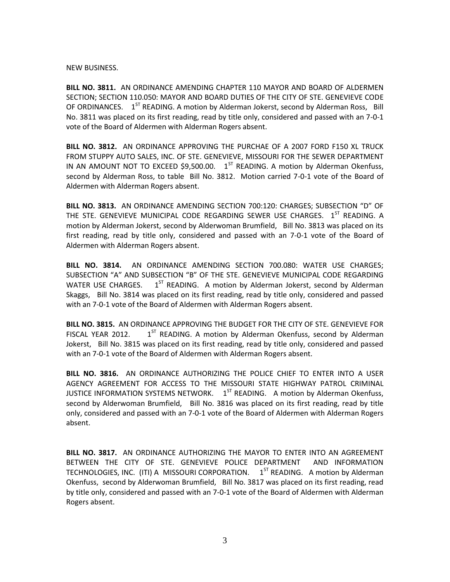#### NEW BUSINESS.

**BILL NO. 3811.** AN ORDINANCE AMENDING CHAPTER 110 MAYOR AND BOARD OF ALDERMEN SECTION; SECTION 110.050: MAYOR AND BOARD DUTIES OF THE CITY OF STE. GENEVIEVE CODE OF ORDINANCES. 1<sup>ST</sup> READING. A motion by Alderman Jokerst, second by Alderman Ross, Bill No. 3811 was placed on its first reading, read by title only, considered and passed with an 7-0-1 vote of the Board of Aldermen with Alderman Rogers absent.

**BILL NO. 3812.** AN ORDINANCE APPROVING THE PURCHAE OF A 2007 FORD F150 XL TRUCK FROM STUPPY AUTO SALES, INC. OF STE. GENEVIEVE, MISSOURI FOR THE SEWER DEPARTMENT IN AN AMOUNT NOT TO EXCEED \$9,500.00.  $1^{ST}$  READING. A motion by Alderman Okenfuss, second by Alderman Ross, to table Bill No. 3812. Motion carried 7-0-1 vote of the Board of Aldermen with Alderman Rogers absent.

**BILL NO. 3813.** AN ORDINANCE AMENDING SECTION 700:120: CHARGES; SUBSECTION "D" OF THE STE. GENEVIEVE MUNICIPAL CODE REGARDING SEWER USE CHARGES. 1<sup>ST</sup> READING. A motion by Alderman Jokerst, second by Alderwoman Brumfield, Bill No. 3813 was placed on its first reading, read by title only, considered and passed with an 7-0-1 vote of the Board of Aldermen with Alderman Rogers absent.

**BILL NO. 3814.** AN ORDINANCE AMENDING SECTION 700.080: WATER USE CHARGES; SUBSECTION "A" AND SUBSECTION "B" OF THE STE. GENEVIEVE MUNICIPAL CODE REGARDING WATER USE CHARGES.  $1^{ST}$  READING. A motion by Alderman Jokerst, second by Alderman Skaggs, Bill No. 3814 was placed on its first reading, read by title only, considered and passed with an 7-0-1 vote of the Board of Aldermen with Alderman Rogers absent.

**BILL NO. 3815.** AN ORDINANCE APPROVING THE BUDGET FOR THE CITY OF STE. GENEVIEVE FOR FISCAL YEAR 2012.  $1<sup>ST</sup>$  READING. A motion by Alderman Okenfuss, second by Alderman Jokerst, Bill No. 3815 was placed on its first reading, read by title only, considered and passed with an 7-0-1 vote of the Board of Aldermen with Alderman Rogers absent.

**BILL NO. 3816.** AN ORDINANCE AUTHORIZING THE POLICE CHIEF TO ENTER INTO A USER AGENCY AGREEMENT FOR ACCESS TO THE MISSOURI STATE HIGHWAY PATROL CRIMINAL JUSTICE INFORMATION SYSTEMS NETWORK.  $1^{ST}$  READING. A motion by Alderman Okenfuss, second by Alderwoman Brumfield, Bill No. 3816 was placed on its first reading, read by title only, considered and passed with an 7-0-1 vote of the Board of Aldermen with Alderman Rogers absent.

**BILL NO. 3817.** AN ORDINANCE AUTHORIZING THE MAYOR TO ENTER INTO AN AGREEMENT BETWEEN THE CITY OF STE. GENEVIEVE POLICE DEPARTMENT AND INFORMATION TECHNOLOGIES, INC. (ITI) A MISSOURI CORPORATION.  $1^{ST}$  READING. A motion by Alderman Okenfuss, second by Alderwoman Brumfield, Bill No. 3817 was placed on its first reading, read by title only, considered and passed with an 7-0-1 vote of the Board of Aldermen with Alderman Rogers absent.